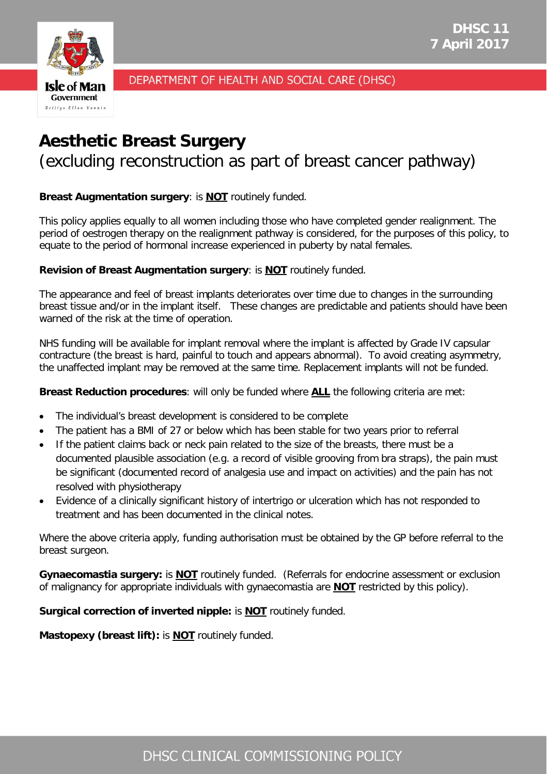



DEPARTMENT OF HEALTH AND SOCIAL CARE (DHSC)

# **Aesthetic Breast Surgery** (excluding reconstruction as part of breast cancer pathway)

# **Breast Augmentation surgery**: is **NOT** routinely funded.

This policy applies equally to all women including those who have completed gender realignment. The period of oestrogen therapy on the realignment pathway is considered, for the purposes of this policy, to equate to the period of hormonal increase experienced in puberty by natal females.

## **Revision of Breast Augmentation surgery**: is **NOT** routinely funded.

The appearance and feel of breast implants deteriorates over time due to changes in the surrounding breast tissue and/or in the implant itself. These changes are predictable and patients should have been warned of the risk at the time of operation.

NHS funding will be available for implant removal where the implant is affected by Grade IV capsular contracture (the breast is hard, painful to touch and appears abnormal). To avoid creating asymmetry, the unaffected implant may be removed at the same time. Replacement implants will not be funded.

**Breast Reduction procedures**: will only be funded where **ALL** the following criteria are met:

- The individual's breast development is considered to be complete
- The patient has a BMI of 27 or below which has been stable for two years prior to referral
- If the patient claims back or neck pain related to the size of the breasts, there must be a documented plausible association (e.g. a record of visible grooving from bra straps), the pain must be significant (documented record of analgesia use and impact on activities) and the pain has not resolved with physiotherapy
- Evidence of a clinically significant history of intertrigo or ulceration which has not responded to treatment and has been documented in the clinical notes.

Where the above criteria apply, funding authorisation must be obtained by the GP before referral to the breast surgeon.

**Gynaecomastia surgery:** is **NOT** routinely funded. (Referrals for endocrine assessment or exclusion of malignancy for appropriate individuals with gynaecomastia are **NOT** restricted by this policy).

**Surgical correction of inverted nipple:** is **NOT** routinely funded.

**Mastopexy (breast lift):** is **NOT** routinely funded.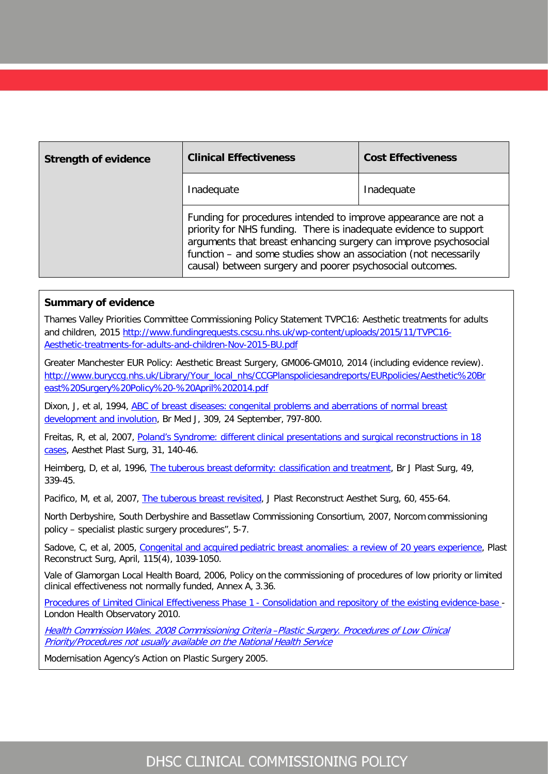| <b>Strength of evidence</b> | <b>Clinical Effectiveness</b>                                                                                                                                                                                                                                                                                                             | <b>Cost Effectiveness</b> |
|-----------------------------|-------------------------------------------------------------------------------------------------------------------------------------------------------------------------------------------------------------------------------------------------------------------------------------------------------------------------------------------|---------------------------|
|                             | Inadequate                                                                                                                                                                                                                                                                                                                                | Inadequate                |
|                             | Funding for procedures intended to improve appearance are not a<br>priority for NHS funding. There is inadequate evidence to support<br>arguments that breast enhancing surgery can improve psychosocial<br>function - and some studies show an association (not necessarily<br>causal) between surgery and poorer psychosocial outcomes. |                           |

#### **Summary of evidence**

Thames Valley Priorities Committee Commissioning Policy Statement TVPC16: Aesthetic treatments for adults and children, 2015 [http://www.fundingrequests.cscsu.nhs.uk/wp-content/uploads/2015/11/TVPC16-](http://www.fundingrequests.cscsu.nhs.uk/wp-content/uploads/2015/11/TVPC16-Aesthetic-treatments-for-adults-and-children-Nov-2015-BU.pdf) [Aesthetic-treatments-for-adults-and-children-Nov-2015-BU.pdf](http://www.fundingrequests.cscsu.nhs.uk/wp-content/uploads/2015/11/TVPC16-Aesthetic-treatments-for-adults-and-children-Nov-2015-BU.pdf)

Greater Manchester EUR Policy: Aesthetic Breast Surgery, GM006-GM010, 2014 (including evidence review). [http://www.buryccg.nhs.uk/Library/Your\\_local\\_nhs/CCGPlanspoliciesandreports/EURpolicies/Aesthetic%20Br](http://www.buryccg.nhs.uk/Library/Your_local_nhs/CCGPlanspoliciesandreports/EURpolicies/Aesthetic%20Breast%20Surgery%20Policy%20-%20April%202014.pdf) [east%20Surgery%20Policy%20-%20April%202014.pdf](http://www.buryccg.nhs.uk/Library/Your_local_nhs/CCGPlanspoliciesandreports/EURpolicies/Aesthetic%20Breast%20Surgery%20Policy%20-%20April%202014.pdf)

Dixon, J, et al, 1994, [ABC of breast diseases:](http://www.ncbi.nlm.nih.gov/pmc/articles/PMC2541002/) congenital [problems and aberrations of normal breast](http://www.ncbi.nlm.nih.gov/pmc/articles/PMC2541002/)  [development and involution,](http://www.ncbi.nlm.nih.gov/pmc/articles/PMC2541002/) Br Med J, 309, 24 September, 797-800.

Freitas, R, et al, 2007, [Poland's Syndrome: different](http://www.ncbi.nlm.nih.gov/pubmed/?term=Poland%E2%80%99s%2BSyndrome%3A%2Bdifferent%2Bclinical%2Bpresentations%2Band%2Bsurgical%2Breconstructions%2Bin%2B18%2Bcases) clinical presentations and surgical reconstructions in 18 [cases,](http://www.ncbi.nlm.nih.gov/pubmed/?term=Poland%E2%80%99s%2BSyndrome%3A%2Bdifferent%2Bclinical%2Bpresentations%2Band%2Bsurgical%2Breconstructions%2Bin%2B18%2Bcases) Aesthet Plast Surg, 31, 140-46.

Heimberg, D, et al, 1996, [The tuberous breast](http://www.ncbi.nlm.nih.gov/pubmed/8881778) deformity: [classification and treatment,](http://www.ncbi.nlm.nih.gov/pubmed/8881778) Br J Plast Surg, 49, 339-45.

Pacifico, M, et al, 2007, [The tuberous breast revisited,](http://www.jprasurg.com/article/S1748-6815%2807%2900017-4/abstract) J Plast Reconstruct Aesthet Surg, 60, 455-64.

North Derbyshire, South Derbyshire and Bassetlaw Commissioning Consortium, 2007, Norcom commissioning policy – specialist plastic surgery procedures", 5-7.

Sadove, C, et al, 2005, [Congenital and acquired](http://www.ncbi.nlm.nih.gov/pubmed/?term=Congenital%2Band%2Bacquired%2Bpediatric%2Bbreast%2Banomalies%3A%2Ba%2Breview%2Bof%2B20%2Byears%2Bexperience) pediatric [breast anomalies: a review of 20 years experience,](http://www.ncbi.nlm.nih.gov/pubmed/?term=Congenital%2Band%2Bacquired%2Bpediatric%2Bbreast%2Banomalies%3A%2Ba%2Breview%2Bof%2B20%2Byears%2Bexperience) Plast Reconstruct Surg, April, 115(4), 1039-1050.

Vale of Glamorgan Local Health Board, 2006, Policy on the commissioning of procedures of low priority or limited clinical effectiveness not normally funded, Annex A, 3.36.

[Procedures of Limited Clinical Effectiveness Phase 1](http://www.lho.org.uk/Download/Public/16352/1/Consolidation%20of%20evidence%20base%20FINAL%20_2_.pdf) - [Consolidation and repository of the existing](http://www.lho.org.uk/Download/Public/16352/1/Consolidation%20of%20evidence%20base%20FINAL%20_2_.pdf) evidence-base -London Health Observatory 2010.

[Health Commission Wales. 2008 Commissioning Criteria](http://wales.gov.uk/dhss/publications/healthcommission/policies/plasticsurgery/plasticsurgerye.pdf) [–Plastic Surgery. Procedures of Low Clinical](http://wales.gov.uk/dhss/publications/healthcommission/policies/plasticsurgery/plasticsurgerye.pdf) [Priority/Procedures not usually available on the National](http://wales.gov.uk/dhss/publications/healthcommission/policies/plasticsurgery/plasticsurgerye.pdf) Health [Service](http://wales.gov.uk/dhss/publications/healthcommission/policies/plasticsurgery/plasticsurgerye.pdf)

Modernisation Agency's Action on Plastic Surgery 2005.